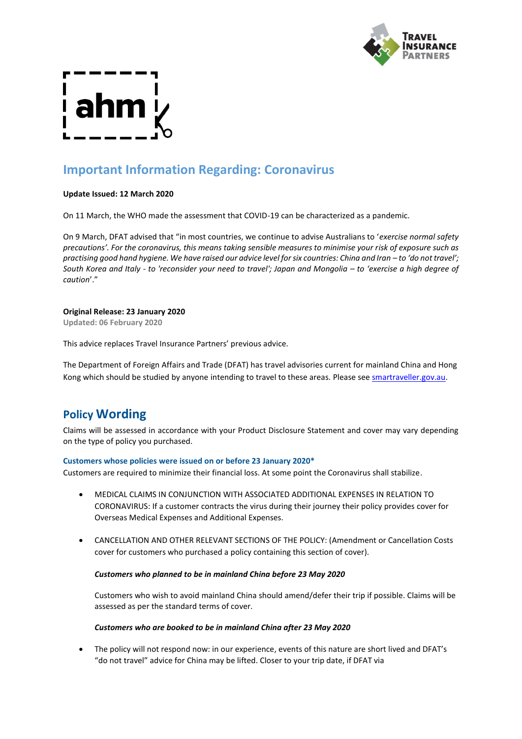

# **Important Information Regarding: Coronavirus**

### **Update Issued: 12 March 2020**

On 11 March, the WHO made the assessment that COVID-19 can be characterized as a pandemic.

On 9 March, DFAT advised that "in most countries, we continue to advise Australians to '*exercise normal safety precautions'. For the coronavirus, this means taking sensible measures to minimise your risk of exposure such as practising good hand hygiene. We have raised our advice level for six countries: China and Iran – to 'do not travel'; South Korea and Italy - to 'reconsider your need to travel'; Japan and Mongolia - to 'exercise a high degree of caution*'."

#### **Original Release: 23 January 2020**

**Updated: 06 February 2020**

This advice replaces Travel Insurance Partners' previous advice.

The Department of Foreign Affairs and Trade (DFAT) has travel advisories current for mainland China and Hong Kong which should be studied by anyone intending to travel to these areas. Please se[e smartraveller.gov.au.](https://www.smartraveller.gov.au/)

## **Policy Wording**

Claims will be assessed in accordance with your Product Disclosure Statement and cover may vary depending on the type of policy you purchased.

### **Customers whose policies were issued on or before 23 January 2020\***

Customers are required to minimize their financial loss. At some point the Coronavirus shall stabilize.

- MEDICAL CLAIMS IN CONJUNCTION WITH ASSOCIATED ADDITIONAL EXPENSES IN RELATION TO CORONAVIRUS: If a customer contracts the virus during their journey their policy provides cover for Overseas Medical Expenses and Additional Expenses.
- CANCELLATION AND OTHER RELEVANT SECTIONS OF THE POLICY: (Amendment or Cancellation Costs cover for customers who purchased a policy containing this section of cover).

### *Customers who planned to be in mainland China before 23 May 2020*

Customers who wish to avoid mainland China should amend/defer their trip if possible. Claims will be assessed as per the standard terms of cover.

### *Customers who are booked to be in mainland China after 23 May 2020*

• The policy will not respond now: in our experience, events of this nature are short lived and DFAT's "do not travel" advice for China may be lifted. Closer to your trip date, if DFAT via